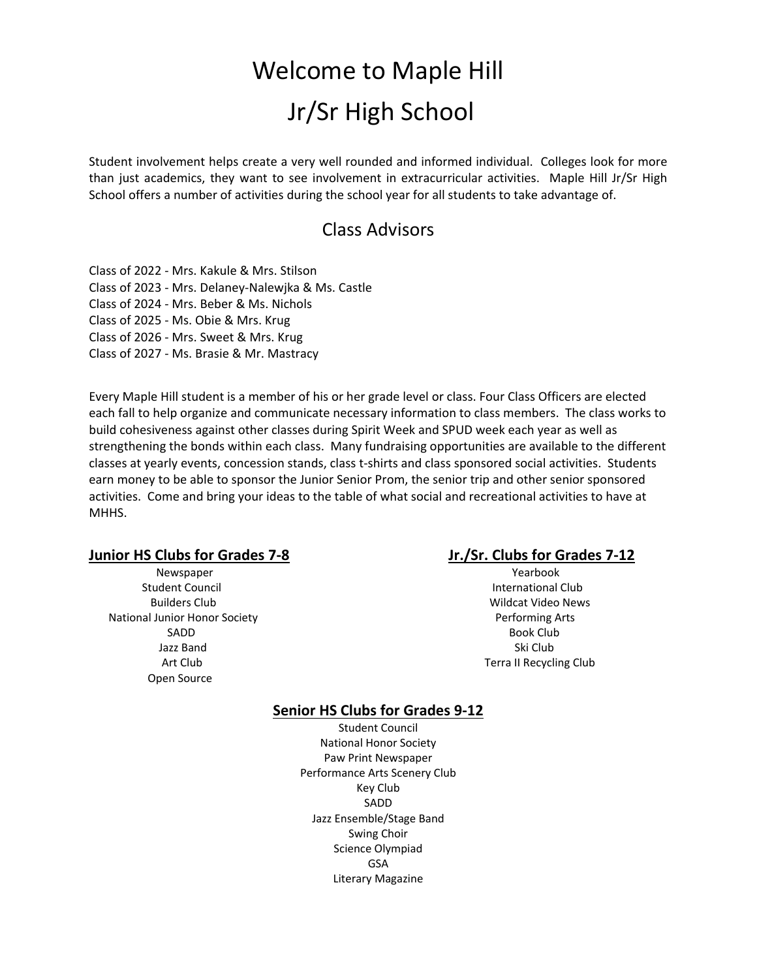# Welcome to Maple Hill Jr/Sr High School

Student involvement helps create a very well rounded and informed individual. Colleges look for more than just academics, they want to see involvement in extracurricular activities. Maple Hill Jr/Sr High School offers a number of activities during the school year for all students to take advantage of.

## Class Advisors

Class of 2022 - Mrs. Kakule & Mrs. Stilson Class of 2023 - Mrs. Delaney-Nalewjka & Ms. Castle Class of 2024 - Mrs. Beber & Ms. Nichols Class of 2025 - Ms. Obie & Mrs. Krug Class of 2026 - Mrs. Sweet & Mrs. Krug Class of 2027 - Ms. Brasie & Mr. Mastracy

Every Maple Hill student is a member of his or her grade level or class. Four Class Officers are elected each fall to help organize and communicate necessary information to class members. The class works to build cohesiveness against other classes during Spirit Week and SPUD week each year as well as strengthening the bonds within each class. Many fundraising opportunities are available to the different classes at yearly events, concession stands, class t-shirts and class sponsored social activities. Students earn money to be able to sponsor the Junior Senior Prom, the senior trip and other senior sponsored activities. Come and bring your ideas to the table of what social and recreational activities to have at MHH<sub>S</sub>.

#### **Junior HS Clubs for Grades 7-8 Jr./Sr. Clubs for Grades 7-12**

Student Council **International Club**  Builders Club Wildcat Video News National Junior Honor Society **Performing Arts** SADD Book Club and the state of the state of the state of the state of the state of the state of the state of the state of the state of the state of the state of the state of the state of the state of the state of the stat Jazz Band Ski Club is a state of the state of the state of the state of the state of the state of the state of Open Source

Newspaper **Newspaper Yearbook** Art Club Terra II Recycling Club

### **Senior HS Clubs for Grades 9-12**

Student Council National Honor Society Paw Print Newspaper Performance Arts Scenery Club Key Club SADD Jazz Ensemble/Stage Band Swing Choir Science Olympiad GSA Literary Magazine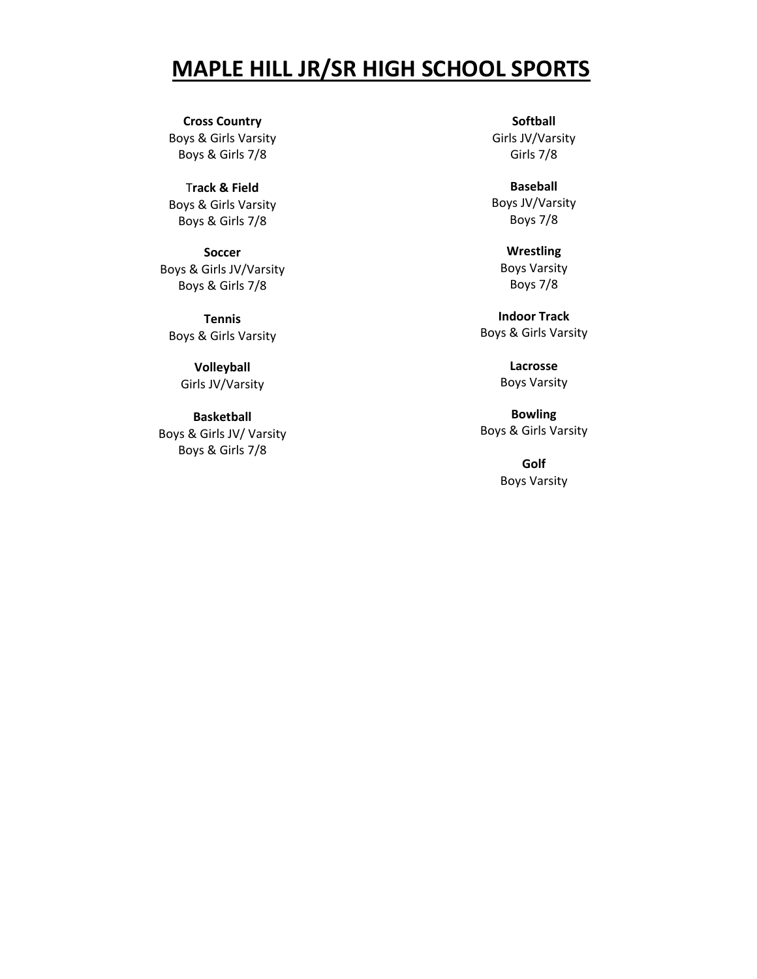# **MAPLE HILL JR/SR HIGH SCHOOL SPORTS**

**Cross Country** Boys & Girls Varsity Boys & Girls 7/8

T**rack & Field** Boys & Girls Varsity Boys & Girls 7/8

**Soccer** Boys & Girls JV/Varsity Boys & Girls 7/8

**Tennis** Boys & Girls Varsity

> **Volleyball** Girls JV/Varsity

**Basketball** Boys & Girls JV/ Varsity Boys & Girls 7/8

**Softball** Girls JV/Varsity Girls 7/8

**Baseball** Boys JV/Varsity Boys 7/8

> **Wrestling** Boys Varsity Boys 7/8

**Indoor Track** Boys & Girls Varsity

> **Lacrosse** Boys Varsity

**Bowling** Boys & Girls Varsity

> **Golf** Boys Varsity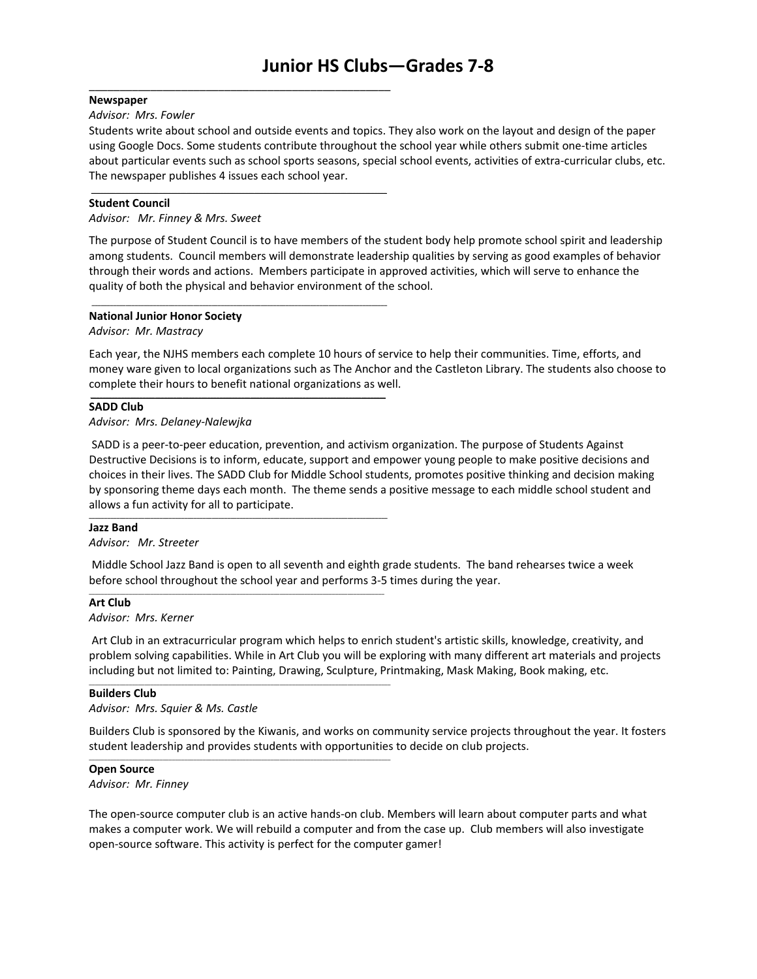#### **Newspaper**

#### *Advisor: Mrs. Fowler*

Students write about school and outside events and topics. They also work on the layout and design of the paper using Google Docs. Some students contribute throughout the school year while others submit one-time articles about particular events such as school sports seasons, special school events, activities of extra-curricular clubs, etc. The newspaper publishes 4 issues each school year.

#### **Student Council**

#### *Advisor: Mr. Finney & Mrs. Sweet*

\_\_\_\_\_\_\_\_\_\_\_\_\_\_\_\_\_\_\_\_\_\_\_\_\_\_\_\_\_\_\_\_\_\_\_\_\_\_\_\_\_\_\_\_\_\_\_\_\_

**\_\_\_\_\_\_\_\_\_\_\_\_\_\_\_\_\_\_\_\_\_\_\_\_\_\_\_\_\_\_\_\_\_\_\_\_\_\_\_\_\_\_\_\_\_\_\_\_\_\_\_\_\_\_\_\_\_\_\_\_\_\_\_\_\_\_\_\_\_\_\_\_\_\_\_\_\_\_\_\_\_\_\_\_\_\_\_\_\_\_\_\_\_\_\_\_**

**\_\_\_\_\_\_\_\_\_\_\_\_\_\_\_\_\_\_\_\_\_\_\_\_\_\_\_\_\_\_\_\_\_\_\_\_\_\_\_\_\_\_\_\_\_\_\_\_\_\_\_\_\_\_\_\_\_\_\_\_\_\_\_\_\_\_\_\_\_\_\_\_\_\_\_\_\_\_\_\_\_\_\_\_\_\_\_\_\_\_\_\_\_\_\_\_**

\_\_\_\_\_\_\_\_\_\_\_\_\_\_\_\_\_\_\_\_\_\_\_\_\_\_\_\_\_\_\_\_\_\_\_\_\_\_\_\_\_\_\_\_\_\_\_\_\_\_\_\_\_\_\_\_\_\_\_\_\_\_\_\_\_\_\_\_\_\_\_\_\_\_\_\_\_\_\_\_\_\_\_\_\_\_\_\_\_\_\_\_\_\_\_\_

**\_\_\_\_\_\_\_\_\_\_\_\_\_\_\_\_\_\_\_\_\_\_\_\_\_\_\_\_\_\_\_\_\_\_\_\_\_\_\_\_\_\_\_\_\_\_\_\_\_\_\_\_\_\_\_\_\_\_\_\_\_\_\_\_\_\_\_\_\_\_\_\_\_\_\_\_\_\_\_\_\_\_\_\_\_\_\_\_\_\_\_\_\_\_\_\_\_**

\_\_\_\_\_\_\_\_\_\_\_\_\_\_\_\_\_\_\_\_\_\_\_\_\_\_\_\_\_\_\_\_\_\_\_\_\_\_\_\_\_\_\_\_\_\_\_\_\_\_\_\_\_\_\_\_\_\_\_\_\_\_\_\_\_\_\_\_\_\_\_\_\_\_\_\_\_\_\_\_\_\_\_\_\_\_\_\_\_\_\_\_\_\_\_\_\_\_

The purpose of Student Council is to have members of the student body help promote school spirit and leadership among students. Council members will demonstrate leadership qualities by serving as good examples of behavior through their words and actions. Members participate in approved activities, which will serve to enhance the quality of both the physical and behavior environment of the school.

#### **National Junior Honor Society**

*Advisor: Mr. Mastracy*

Each year, the NJHS members each complete 10 hours of service to help their communities. Time, efforts, and money ware given to local organizations such as The Anchor and the Castleton Library. The students also choose to complete their hours to benefit national organizations as well.

#### **SADD Club**

#### *Advisor: Mrs. Delaney-Nalewjka*

SADD is a peer-to-peer education, prevention, and activism organization. The purpose of Students Against Destructive Decisions is to inform, educate, support and empower young people to make positive decisions and choices in their lives. The SADD Club for Middle School students, promotes positive thinking and decision making by sponsoring theme days each month. The theme sends a positive message to each middle school student and allows a fun activity for all to participate.

#### **Jazz Band**

*Advisor: Mr. Streeter*

Middle School Jazz Band is open to all seventh and eighth grade students. The band rehearses twice a week before school throughout the school year and performs 3-5 times during the year.

#### **Art Club**

*Advisor: Mrs. Kerner*

Art Club in an extracurricular program which helps to enrich student's artistic skills, knowledge, creativity, and problem solving capabilities. While in Art Club you will be exploring with many different art materials and projects including but not limited to: Painting, Drawing, Sculpture, Printmaking, Mask Making, Book making, etc.

#### **Builders Club**

*Advisor: Mrs. Squier & Ms. Castle*

Builders Club is sponsored by the Kiwanis, and works on community service projects throughout the year. It fosters student leadership and provides students with opportunities to decide on club projects.

#### **Open Source**

*Advisor: Mr. Finney*

The open-source computer club is an active hands-on club. Members will learn about computer parts and what makes a computer work. We will rebuild a computer and from the case up. Club members will also investigate open-source software. This activity is perfect for the computer gamer!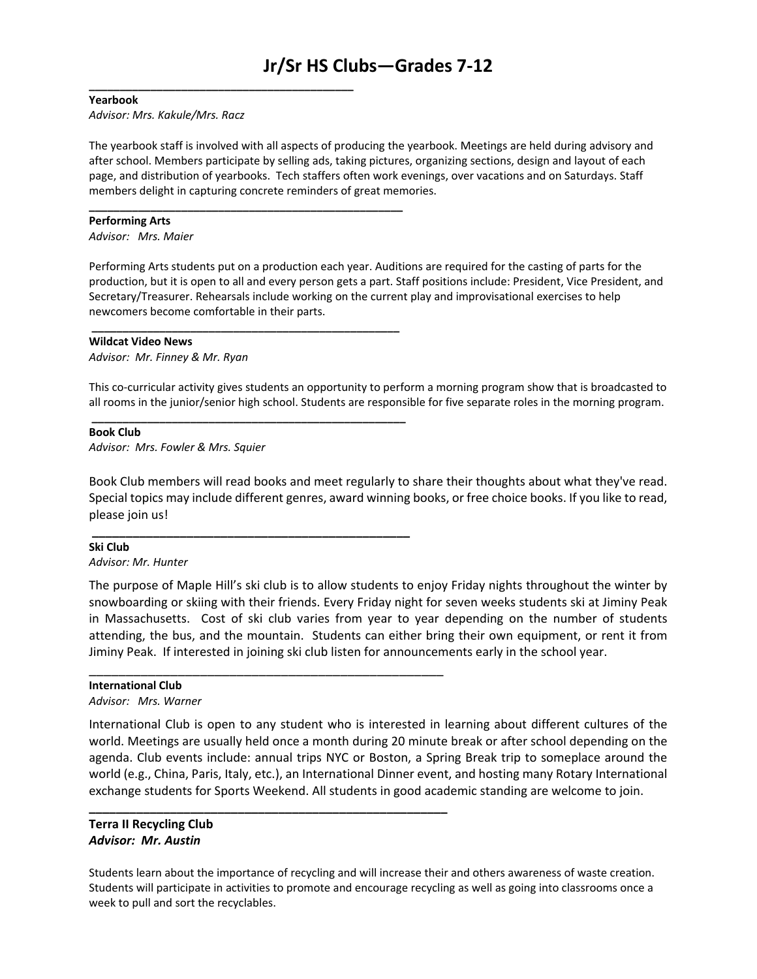#### **Yearbook**

*Advisor: Mrs. Kakule/Mrs. Racz*

**\_\_\_\_\_\_\_\_\_\_\_\_\_\_\_\_\_\_\_\_\_\_\_\_\_\_\_\_\_\_\_\_\_\_\_\_\_\_\_\_\_\_\_\_\_\_\_\_\_\_\_**

**\_\_\_\_\_\_\_\_\_\_\_\_\_\_\_\_\_\_\_\_\_\_\_\_\_\_\_\_\_\_\_\_\_\_\_\_\_\_\_\_\_\_\_\_\_\_\_\_\_\_**

**\_\_\_\_\_\_\_\_\_\_\_\_\_\_\_\_\_\_\_\_\_\_\_\_\_\_\_\_\_\_\_\_\_\_\_\_\_\_\_\_\_\_\_\_\_\_\_\_\_\_\_**

**\_\_\_\_\_\_\_\_\_\_\_\_\_\_\_\_\_\_\_\_\_\_\_\_\_\_\_\_\_\_\_\_\_\_\_\_\_\_\_\_\_\_\_\_\_\_\_**

\_\_\_\_\_\_\_\_\_\_\_\_\_\_\_\_\_\_\_\_\_\_\_\_\_\_\_\_\_\_\_\_\_\_\_\_\_\_\_\_\_\_\_\_\_\_\_\_

**\_\_\_\_\_\_\_\_\_\_\_\_\_\_\_\_\_\_\_\_\_\_\_\_\_\_\_\_\_\_\_\_\_\_\_\_\_\_\_\_\_\_\_\_\_\_\_\_\_\_\_\_\_**

The yearbook staff is involved with all aspects of producing the yearbook. Meetings are held during advisory and after school. Members participate by selling ads, taking pictures, organizing sections, design and layout of each page, and distribution of yearbooks. Tech staffers often work evenings, over vacations and on Saturdays. Staff members delight in capturing concrete reminders of great memories.

#### **Performing Arts**

*Advisor: Mrs. Maier*

Performing Arts students put on a production each year. Auditions are required for the casting of parts for the production, but it is open to all and every person gets a part. Staff positions include: President, Vice President, and Secretary/Treasurer. Rehearsals include working on the current play and improvisational exercises to help newcomers become comfortable in their parts.

#### **Wildcat Video News**

*Advisor: Mr. Finney & Mr. Ryan*

This co-curricular activity gives students an opportunity to perform a morning program show that is broadcasted to all rooms in the junior/senior high school. Students are responsible for five separate roles in the morning program.

#### **Book Club**

*Advisor: Mrs. Fowler & Mrs. Squier*

Book Club members will read books and meet regularly to share their thoughts about what they've read. Special topics may include different genres, award winning books, or free choice books. If you like to read, please join us!

#### **Ski Club**

*Advisor: Mr. Hunter*

The purpose of Maple Hill's ski club is to allow students to enjoy Friday nights throughout the winter by snowboarding or skiing with their friends. Every Friday night for seven weeks students ski at Jiminy Peak in Massachusetts. Cost of ski club varies from year to year depending on the number of students attending, the bus, and the mountain. Students can either bring their own equipment, or rent it from Jiminy Peak. If interested in joining ski club listen for announcements early in the school year.

#### **International Club**

*Advisor: Mrs. Warner*

International Club is open to any student who is interested in learning about different cultures of the world. Meetings are usually held once a month during 20 minute break or after school depending on the agenda. Club events include: annual trips NYC or Boston, a Spring Break trip to someplace around the world (e.g., China, Paris, Italy, etc.), an International Dinner event, and hosting many Rotary International exchange students for Sports Weekend. All students in good academic standing are welcome to join.

#### **Terra II Recycling Club** *Advisor: Mr. Austin*

Students learn about the importance of recycling and will increase their and others awareness of waste creation. Students will participate in activities to promote and encourage recycling as well as going into classrooms once a week to pull and sort the recyclables.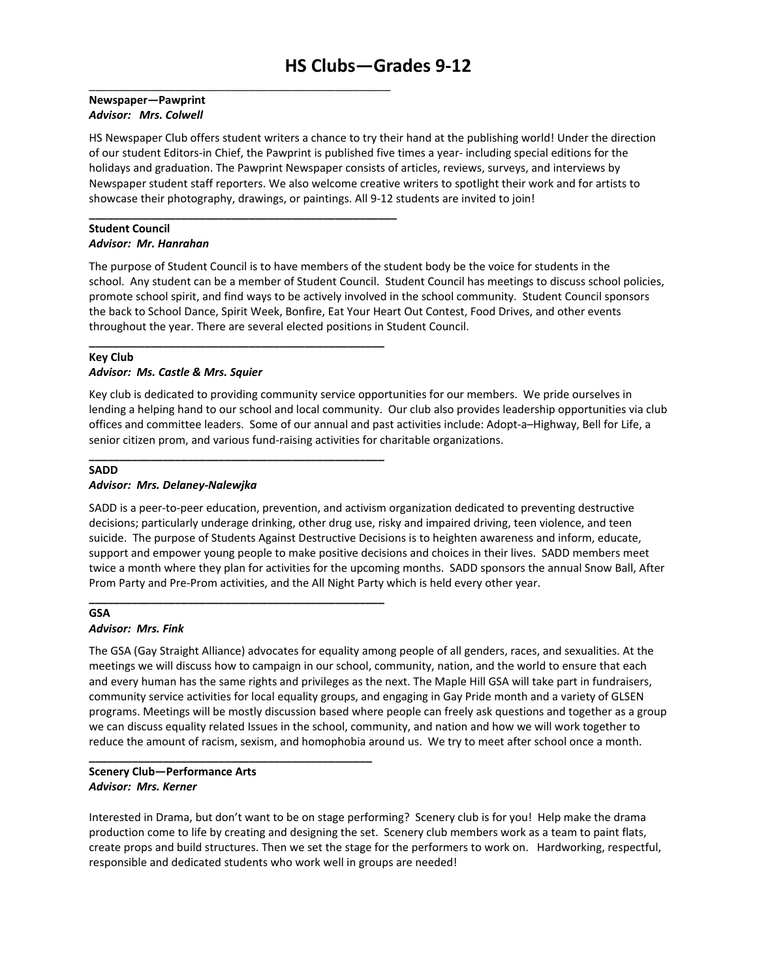#### **Newspaper—Pawprint** *Advisor: Mrs. Colwell*

\_\_\_\_\_\_\_\_\_\_\_\_\_\_\_\_\_\_\_\_\_\_\_\_\_\_\_\_\_\_\_\_\_\_\_\_\_\_\_\_\_\_\_\_\_\_\_\_\_

**\_\_\_\_\_\_\_\_\_\_\_\_\_\_\_\_\_\_\_\_\_\_\_\_\_\_\_\_\_\_\_\_\_\_\_\_\_\_\_\_\_\_\_\_\_\_\_\_\_\_**

**\_\_\_\_\_\_\_\_\_\_\_\_\_\_\_\_\_\_\_\_\_\_\_\_\_\_\_\_\_\_\_\_\_\_\_\_\_\_\_\_\_\_\_\_\_\_\_\_**

**\_\_\_\_\_\_\_\_\_\_\_\_\_\_\_\_\_\_\_\_\_\_\_\_\_\_\_\_\_\_\_\_\_\_\_\_\_\_\_\_\_\_\_\_\_\_\_\_**

**\_\_\_\_\_\_\_\_\_\_\_\_\_\_\_\_\_\_\_\_\_\_\_\_\_\_\_\_\_\_\_\_\_\_\_\_\_\_\_\_\_\_\_\_\_\_\_\_**

**\_\_\_\_\_\_\_\_\_\_\_\_\_\_\_\_\_\_\_\_\_\_\_\_\_\_\_\_\_\_\_\_\_\_\_\_\_\_\_\_\_\_\_\_\_\_**

HS Newspaper Club offers student writers a chance to try their hand at the publishing world! Under the direction of our student Editors-in Chief, the Pawprint is published five times a year- including special editions for the holidays and graduation. The Pawprint Newspaper consists of articles, reviews, surveys, and interviews by Newspaper student staff reporters. We also welcome creative writers to spotlight their work and for artists to showcase their photography, drawings, or paintings. All 9-12 students are invited to join!

#### **Student Council** *Advisor: Mr. Hanrahan*

The purpose of Student Council is to have members of the student body be the voice for students in the school. Any student can be a member of Student Council. Student Council has meetings to discuss school policies, promote school spirit, and find ways to be actively involved in the school community. Student Council sponsors the back to School Dance, Spirit Week, Bonfire, Eat Your Heart Out Contest, Food Drives, and other events throughout the year. There are several elected positions in Student Council.

# **Key Club**

#### *Advisor: Ms. Castle & Mrs. Squier*

Key club is dedicated to providing community service opportunities for our members. We pride ourselves in lending a helping hand to our school and local community. Our club also provides leadership opportunities via club offices and committee leaders. Some of our annual and past activities include: Adopt-a–Highway, Bell for Life, a senior citizen prom, and various fund-raising activities for charitable organizations.

#### **SADD**

#### *Advisor: Mrs. Delaney-Nalewjka*

SADD is a peer-to-peer education, prevention, and activism organization dedicated to preventing destructive decisions; particularly underage drinking, other drug use, risky and impaired driving, teen violence, and teen suicide. The purpose of Students Against Destructive Decisions is to heighten awareness and inform, educate, support and empower young people to make positive decisions and choices in their lives. SADD members meet twice a month where they plan for activities for the upcoming months. SADD sponsors the annual Snow Ball, After Prom Party and Pre-Prom activities, and the All Night Party which is held every other year.

#### **GSA** *Advisor: Mrs. Fink*

The GSA (Gay Straight Alliance) advocates for equality among people of all genders, races, and sexualities. At the meetings we will discuss how to campaign in our school, community, nation, and the world to ensure that each and every human has the same rights and privileges as the next. The Maple Hill GSA will take part in fundraisers, community service activities for local equality groups, and engaging in Gay Pride month and a variety of GLSEN programs. Meetings will be mostly discussion based where people can freely ask questions and together as a group we can discuss equality related Issues in the school, community, and nation and how we will work together to reduce the amount of racism, sexism, and homophobia around us. We try to meet after school once a month.

#### **Scenery Club—Performance Arts** *Advisor: Mrs. Kerner*

Interested in Drama, but don't want to be on stage performing? Scenery club is for you! Help make the drama production come to life by creating and designing the set. Scenery club members work as a team to paint flats, create props and build structures. Then we set the stage for the performers to work on. Hardworking, respectful, responsible and dedicated students who work well in groups are needed!